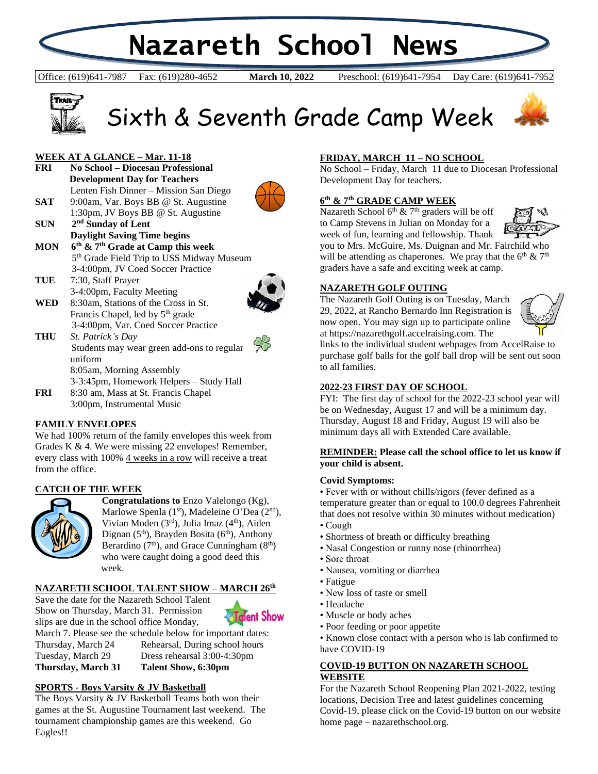# **Nazareth School News**

Office: (619)641-7987 Fax: (619)280-4652 **March 10, 2022** Preschool: (619)641-7954 Day Care: (619)641-7952

**March 10, 2022** 





## Sixth & Seventh Grade Camp Week

#### **WEEK AT A GLANCE – Mar. 11-18**

**FRI No School – Diocesan Professional Development Day for Teachers** Lenten Fish Dinner – Mission San Diego **SAT** 9:00am, Var. Boys BB @ St. Augustine 1:30pm, JV Boys BB @ St. Augustine **SUN 2 nd Sunday of Lent**



- **Daylight Saving Time begins MON th & 7th Grade at Camp this week** 5<sup>th</sup> Grade Field Trip to USS Midway Museum 3-4:00pm, JV Coed Soccer Practice
- **TUE** 7:30, Staff Prayer 3-4:00pm, Faculty Meeting
- **WED** 8:30am, Stations of the Cross in St. Francis Chapel, led by 5<sup>th</sup> grade 3-4:00pm, Var. Coed Soccer Practice



- **THU** *St. Patrick's Day* Students may wear green add-ons to regular uniform 8:05am, Morning Assembly 3-3:45pm, Homework Helpers – Study Hall
- **FRI** 8:30 am, Mass at St. Francis Chapel 3:00pm, Instrumental Music

#### **FAMILY ENVELOPES**

We had 100% return of the family envelopes this week from Grades K & 4. We were missing 22 envelopes! Remember, every class with 100% 4 weeks in a row will receive a treat from the office.

#### **CATCH OF THE WEEK**



**Congratulations to** Enzo Valelongo (Kg), Marlowe Spenla  $(1<sup>st</sup>)$ , Madeleine O'Dea  $(2<sup>nd</sup>)$ , Vivian Moden  $(3<sup>rd</sup>)$ , Julia Imaz  $(4<sup>th</sup>)$ , Aiden Dignan  $(5<sup>th</sup>)$ , Brayden Bosita  $(6<sup>th</sup>)$ , Anthony Berardino  $(7<sup>th</sup>)$ , and Grace Cunningham  $(8<sup>th</sup>)$ who were caught doing a good deed this week.

#### **NAZARETH SCHOOL TALENT SHOW – MARCH 26th**

Save the date for the Nazareth School Talent Show on Thursday, March 31. Permission slips are due in the school office Monday,



March 7. Please see the schedule below for important dates:

Thursday, March 24 Rehearsal, During school hours Tuesday, March 29 Dress rehearsal 3:00-4:30pm **Thursday, March 31 Talent Show, 6:30pm**

#### **SPORTS - Boys Varsity & JV Basketball**

The Boys Varsity & JV Basketball Teams both won their games at the St. Augustine Tournament last weekend. The tournament championship games are this weekend. Go Eagles!!

#### **FRIDAY, MARCH 11 – NO SCHOOL**

No School – Friday, March 11 due to Diocesan Professional Development Day for teachers.

#### **6 th & 7th GRADE CAMP WEEK**

Nazareth School  $6<sup>th</sup>$  & 7<sup>th</sup> graders will be off to Camp Stevens in Julian on Monday for a week of fun, learning and fellowship. Thank



you to Mrs. McGuire, Ms. Duignan and Mr. Fairchild who will be attending as chaperones. We pray that the  $6<sup>th</sup> \& 7<sup>th</sup>$ graders have a safe and exciting week at camp.

#### **NAZARETH GOLF OUTING**

The Nazareth Golf Outing is on Tuesday, March 29, 2022, at Rancho Bernardo Inn Registration is now open. You may sign up to participate online at https://nazarethgolf.accelraising.com. The



links to the individual student webpages from AccelRaise to purchase golf balls for the golf ball drop will be sent out soon to all families.

#### **2022-23 FIRST DAY OF SCHOOL**

FYI: The first day of school for the 2022-23 school year will be on Wednesday, August 17 and will be a minimum day. Thursday, August 18 and Friday, August 19 will also be minimum days all with Extended Care available.

#### **REMINDER: Please call the school office to let us know if your child is absent.**

#### **Covid Symptoms:**

• Fever with or without chills/rigors (fever defined as a temperature greater than or equal to 100.0 degrees Fahrenheit that does not resolve within 30 minutes without medication)

- Cough
- Shortness of breath or difficulty breathing
- Nasal Congestion or runny nose (rhinorrhea)
- Sore throat
- Nausea, vomiting or diarrhea
- Fatigue
- New loss of taste or smell
- Headache
- Muscle or body aches
- Poor feeding or poor appetite

• Known close contact with a person who is lab confirmed to have COVID-19

#### **COVID-19 BUTTON ON NAZARETH SCHOOL WEBSITE**

For the Nazareth School Reopening Plan 2021-2022, testing locations, Decision Tree and latest guidelines concerning Covid-19, please click on the Covid-19 button on our website home page – nazarethschool.org.